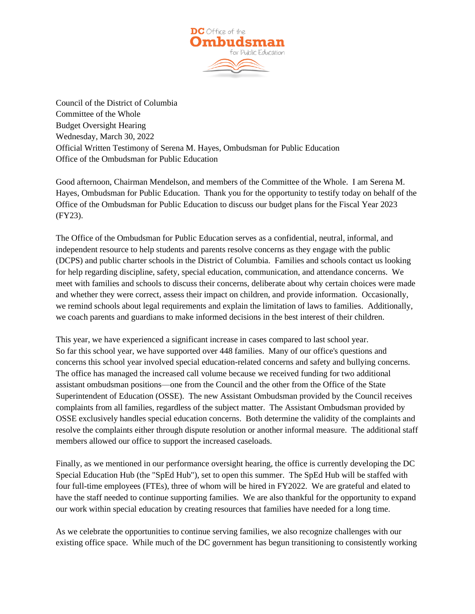

Council of the District of Columbia Committee of the Whole Budget Oversight Hearing Wednesday, March 30, 2022 Official Written Testimony of Serena M. Hayes, Ombudsman for Public Education Office of the Ombudsman for Public Education

Good afternoon, Chairman Mendelson, and members of the Committee of the Whole. I am Serena M. Hayes, Ombudsman for Public Education. Thank you for the opportunity to testify today on behalf of the Office of the Ombudsman for Public Education to discuss our budget plans for the Fiscal Year 2023 (FY23).

The Office of the Ombudsman for Public Education serves as a confidential, neutral, informal, and independent resource to help students and parents resolve concerns as they engage with the public (DCPS) and public charter schools in the District of Columbia. Families and schools contact us looking for help regarding discipline, safety, special education, communication, and attendance concerns. We meet with families and schools to discuss their concerns, deliberate about why certain choices were made and whether they were correct, assess their impact on children, and provide information. Occasionally, we remind schools about legal requirements and explain the limitation of laws to families. Additionally, we coach parents and guardians to make informed decisions in the best interest of their children.

This year, we have experienced a significant increase in cases compared to last school year. So far this school year, we have supported over 448 families. Many of our office's questions and concerns this school year involved special education-related concerns and safety and bullying concerns. The office has managed the increased call volume because we received funding for two additional assistant ombudsman positions—one from the Council and the other from the Office of the State Superintendent of Education (OSSE). The new Assistant Ombudsman provided by the Council receives complaints from all families, regardless of the subject matter. The Assistant Ombudsman provided by OSSE exclusively handles special education concerns. Both determine the validity of the complaints and resolve the complaints either through dispute resolution or another informal measure. The additional staff members allowed our office to support the increased caseloads.

Finally, as we mentioned in our performance oversight hearing, the office is currently developing the DC Special Education Hub (the "SpEd Hub"), set to open this summer. The SpEd Hub will be staffed with four full-time employees (FTEs), three of whom will be hired in FY2022. We are grateful and elated to have the staff needed to continue supporting families. We are also thankful for the opportunity to expand our work within special education by creating resources that families have needed for a long time.

As we celebrate the opportunities to continue serving families, we also recognize challenges with our existing office space. While much of the DC government has begun transitioning to consistently working